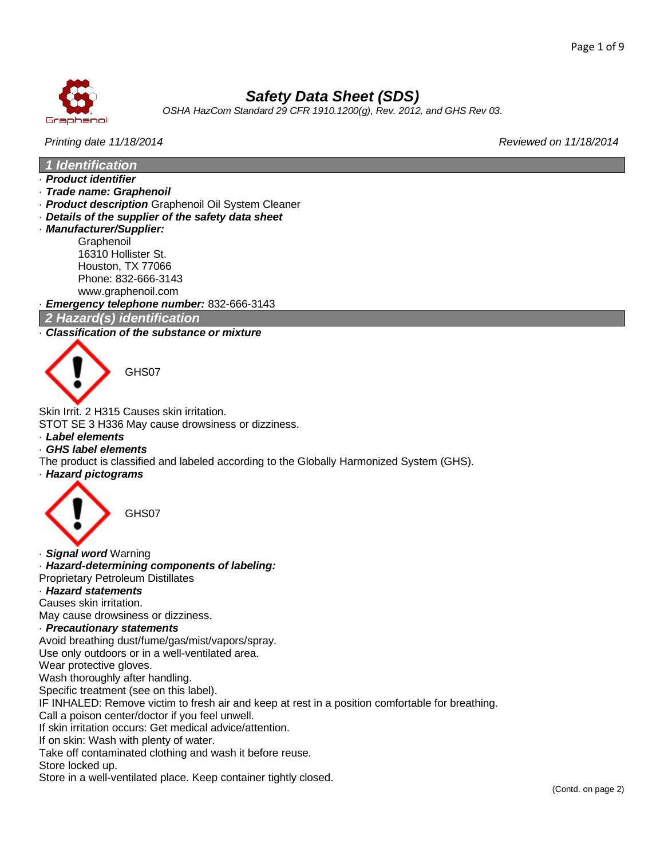

# *Safety Data Sheet (SDS)*

*OSHA HazCom Standard 29 CFR 1910.1200(g), Rev. 2012, and GHS Rev 03.*

### *Printing date 11/18/2014 Reviewed on 11/18/2014*

*1 Identification*

- · *Product identifier*
- · *Trade name: Graphenoil*
- · *Product description* Graphenoil Oil System Cleaner
- · *Details of the supplier of the safety data sheet*
- · *Manufacturer/Supplier:* **Graphenoil** 16310 Hollister St. Houston, TX 77066 Phone: 832-666-3143 www.graphenoil.com

· *Emergency telephone number:* 832-666-3143

### *2 Hazard(s) identification*

### · *Classification of the substance or mixture*



GHS07

Skin Irrit. 2 H315 Causes skin irritation.

- STOT SE 3 H336 May cause drowsiness or dizziness.
- · *Label elements*
- · *GHS label elements*
- The product is classified and labeled according to the Globally Harmonized System (GHS).
- · *Hazard pictograms*



· *Signal word* Warning

· *Hazard-determining components of labeling:*

Proprietary Petroleum Distillates

· *Hazard statements*

Causes skin irritation.

May cause drowsiness or dizziness.

#### · *Precautionary statements*

Avoid breathing dust/fume/gas/mist/vapors/spray.

Use only outdoors or in a well-ventilated area.

Wear protective gloves.

Wash thoroughly after handling.

Specific treatment (see on this label).

IF INHALED: Remove victim to fresh air and keep at rest in a position comfortable for breathing.

Call a poison center/doctor if you feel unwell.

If skin irritation occurs: Get medical advice/attention.

If on skin: Wash with plenty of water.

Take off contaminated clothing and wash it before reuse.

Store locked up.

Store in a well-ventilated place. Keep container tightly closed.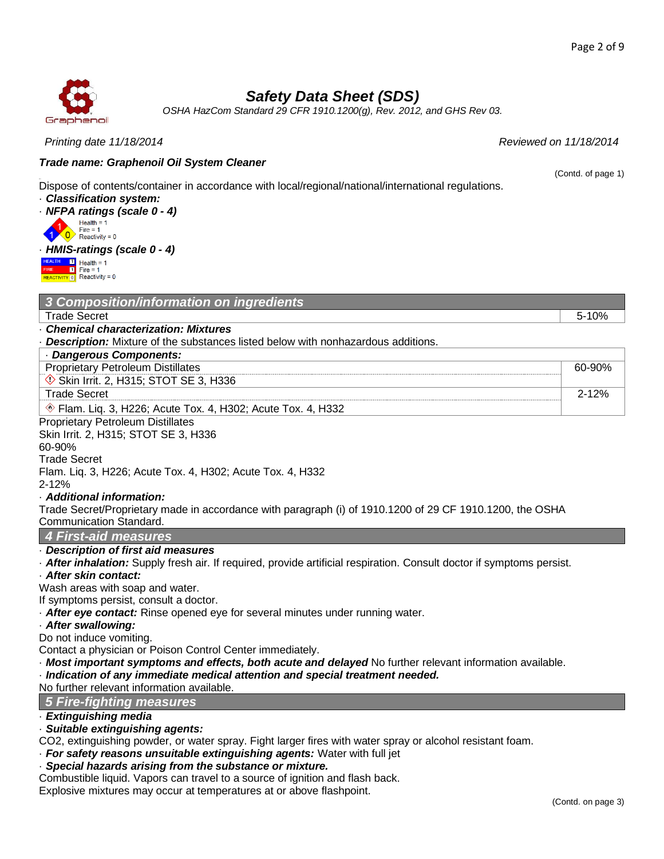#### Page 2 of 9

# *Safety Data Sheet (SDS)*

*OSHA HazCom Standard 29 CFR 1910.1200(g), Rev. 2012, and GHS Rev 03.*

*Printing date 11/18/2014 Reviewed on 11/18/2014*

# *Trade name: Graphenoil Oil System Cleaner*

Dispose of contents/container in accordance with local/regional/national/international regulations.

· *Classification system:*

• *NFPA ratings (scale 0 - 4)*<br>
Fire = 1<br> **10** Reactivity = 0



## · *HMIS-ratings (scale 0 - 4)*



|  |  |  | 3 Composition/information on ingredients |  |
|--|--|--|------------------------------------------|--|
|  |  |  |                                          |  |

· *Chemical characterization: Mixtures*

· *Description:* Mixture of the substances listed below with nonhazardous additions.

| Dangerous Components:                                                                  |        |
|----------------------------------------------------------------------------------------|--------|
| <b>Proprietary Petroleum Distillates</b>                                               | 60-90% |
| Skin Irrit. 2, H315; STOT SE 3, H336                                                   |        |
| Frade Secret                                                                           | 2-12%  |
| Flam. Lig. 3, H226; Acute Tox. 4, H302; Acute Tox. 4, H332<br>$\langle \delta \rangle$ |        |

Proprietary Petroleum Distillates Skin Irrit. 2, H315; STOT SE 3, H336

60-90%

Trade Secret Flam. Liq. 3, H226; Acute Tox. 4, H302; Acute Tox. 4, H332

2-12%

### · *Additional information:*

Trade Secret/Proprietary made in accordance with paragraph (i) of 1910.1200 of 29 CF 1910.1200, the OSHA Communication Standard.

# *4 First-aid measures*

### · *Description of first aid measures*

· *After inhalation:* Supply fresh air. If required, provide artificial respiration. Consult doctor if symptoms persist.

### · *After skin contact:*

Wash areas with soap and water.

If symptoms persist, consult a doctor.

· *After eye contact:* Rinse opened eye for several minutes under running water.

### · *After swallowing:*

Do not induce vomiting.

Contact a physician or Poison Control Center immediately.

· *Most important symptoms and effects, both acute and delayed* No further relevant information available.

· *Indication of any immediate medical attention and special treatment needed.*

No further relevant information available.

### *5 Fire-fighting measures*

· *Extinguishing media*

### · *Suitable extinguishing agents:*

CO2, extinguishing powder, or water spray. Fight larger fires with water spray or alcohol resistant foam.

· *For safety reasons unsuitable extinguishing agents:* Water with full jet

# · *Special hazards arising from the substance or mixture.*

Combustible liquid. Vapors can travel to a source of ignition and flash back.

Explosive mixtures may occur at temperatures at or above flashpoint.



(Contd. of page 1)

Trade Secret 5-10%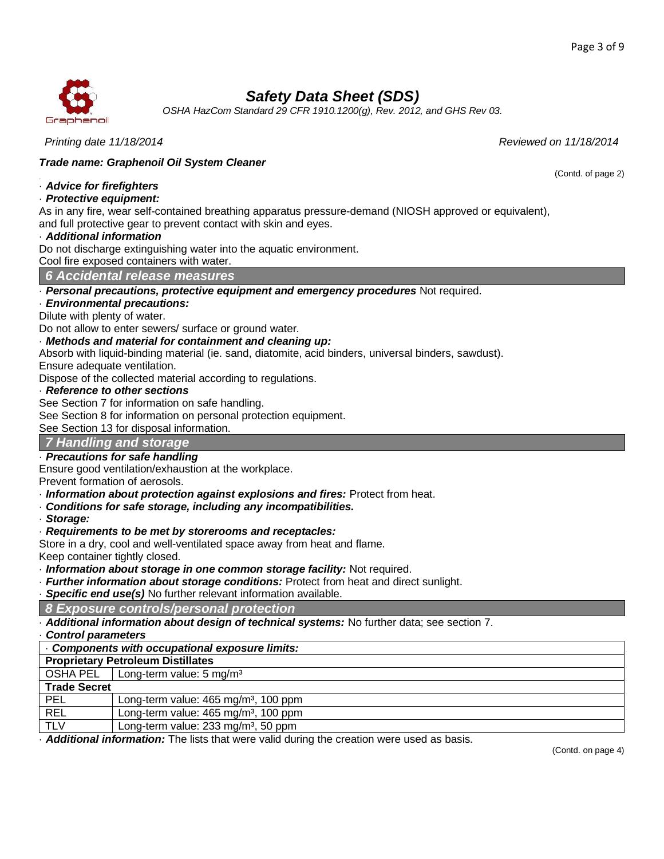(Contd. of page 2)



# *Safety Data Sheet (SDS)*

*OSHA HazCom Standard 29 CFR 1910.1200(g), Rev. 2012, and GHS Rev 03.*

*Printing date 11/18/2014 Reviewed on 11/18/2014*

### *Trade name: Graphenoil Oil System Cleaner*

### · *Advice for firefighters*

### · *Protective equipment:*

As in any fire, wear self-contained breathing apparatus pressure-demand (NIOSH approved or equivalent), and full protective gear to prevent contact with skin and eyes.

### · *Additional information*

Do not discharge extinguishing water into the aquatic environment.

Cool fire exposed containers with water.

*6 Accidental release measures*

· *Personal precautions, protective equipment and emergency procedures* Not required.

### · *Environmental precautions:*

Dilute with plenty of water.

Do not allow to enter sewers/ surface or ground water.

### · *Methods and material for containment and cleaning up:*

Absorb with liquid-binding material (ie. sand, diatomite, acid binders, universal binders, sawdust).

Ensure adequate ventilation.

Dispose of the collected material according to regulations.

### · *Reference to other sections*

See Section 7 for information on safe handling.

See Section 8 for information on personal protection equipment.

See Section 13 for disposal information.

### *7 Handling and storage*

## · *Precautions for safe handling*

Ensure good ventilation/exhaustion at the workplace.

Prevent formation of aerosols.

- · *Information about protection against explosions and fires:* Protect from heat.
- · *Conditions for safe storage, including any incompatibilities.*
- · *Storage:*

### · *Requirements to be met by storerooms and receptacles:*

Store in a dry, cool and well-ventilated space away from heat and flame.

Keep container tightly closed.

· *Information about storage in one common storage facility:* Not required.

· *Further information about storage conditions:* Protect from heat and direct sunlight.

**Specific end use(s)** No further relevant information available.

### *8 Exposure controls/personal protection*

· *Additional information about design of technical systems:* No further data; see section 7.

· *Control parameters* · *Components with occupational exposure limits:*

**Proprietary Petroleum Distillates**

OSHA PEL  $\vert$  Long-term value: 5 mg/m<sup>3</sup>

**Trade Secret**

| l PEL | Long-term value: 465 mg/m <sup>3</sup> , 100 ppm |  |
|-------|--------------------------------------------------|--|
|       |                                                  |  |

REL | Long-term value: 465 mg/m<sup>3</sup>, 100 ppm

 $TLV$  Long-term value: 233 mg/m<sup>3</sup>, 50 ppm

· *Additional information:* The lists that were valid during the creation were used as basis.

(Contd. on page 4)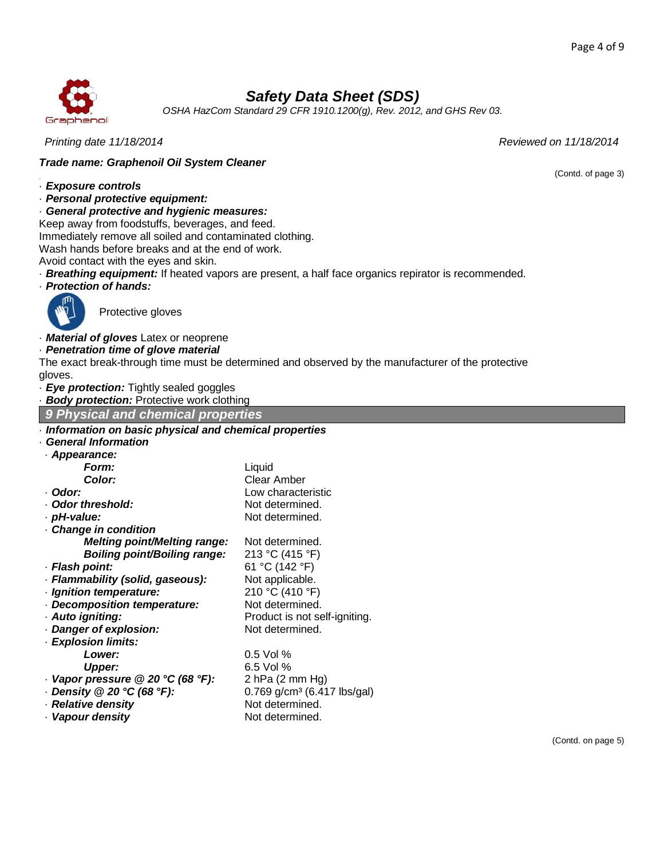(Contd. of page 3)



# *Safety Data Sheet (SDS)*

*OSHA HazCom Standard 29 CFR 1910.1200(g), Rev. 2012, and GHS Rev 03.*

*Printing date 11/18/2014 Reviewed on 11/18/2014*

### *Trade name: Graphenoil Oil System Cleaner*

### · *Exposure controls*

· *Personal protective equipment:*

· *General protective and hygienic measures:*

Keep away from foodstuffs, beverages, and feed.

Immediately remove all soiled and contaminated clothing.

Wash hands before breaks and at the end of work.

Avoid contact with the eyes and skin.

· *Breathing equipment:* If heated vapors are present, a half face organics repirator is recommended.

· *Protection of hands:*



· *Material of gloves* Latex or neoprene

Protective gloves

· *Penetration time of glove material*

The exact break-through time must be determined and observed by the manufacturer of the protective gloves.

· *Eye protection:* Tightly sealed goggles

· *Body protection:* Protective work clothing

*9 Physical and chemical properties*

| Information on basic physical and chemical properties |  |  |
|-------------------------------------------------------|--|--|

### · *General Information*

| · Appearance:                           |                                           |
|-----------------------------------------|-------------------------------------------|
| Form:                                   | Liquid                                    |
| Color:                                  | Clear Amber                               |
| · Odor:                                 | Low characteristic                        |
| · Odor threshold:                       | Not determined.                           |
| · pH-value:                             | Not determined.                           |
| Change in condition                     |                                           |
| <b>Melting point/Melting range:</b>     | Not determined.                           |
| <b>Boiling point/Boiling range:</b>     | 213 °C (415 °F)                           |
| · Flash point:                          | 61 °C (142 °F)                            |
| · Flammability (solid, gaseous):        | Not applicable.                           |
| · Ignition temperature:                 | 210 °C (410 °F)                           |
| - Decomposition temperature:            | Not determined.                           |
| · Auto igniting:                        | Product is not self-igniting.             |
| Danger of explosion:                    | Not determined.                           |
| · Explosion limits:                     |                                           |
| <b>Lower:</b>                           | $0.5$ Vol %                               |
| <b>Upper:</b>                           | 6.5 Vol %                                 |
| $\cdot$ Vapor pressure @ 20 °C (68 °F): | 2 hPa $(2 \text{ mm Hg})$                 |
| Density @ 20 °C (68 °F):                | $0.769$ g/cm <sup>3</sup> (6.417 lbs/gal) |
| · Relative density                      | Not determined.                           |
| · Vapour density                        | Not determined.                           |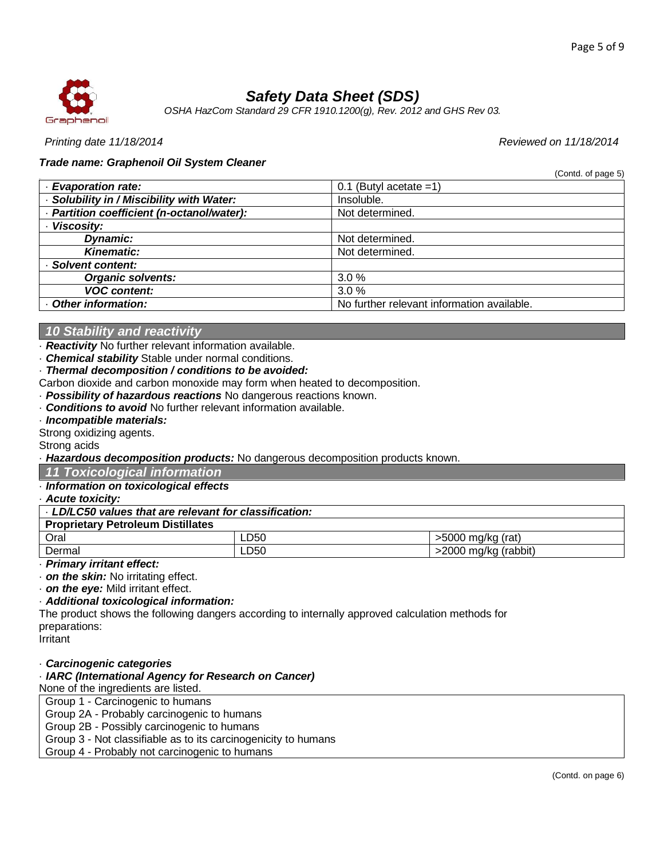(Contd. of page 5)



# *Safety Data Sheet (SDS)*

*OSHA HazCom Standard 29 CFR 1910.1200(g), Rev. 2012 and GHS Rev 03.*

*Printing date 11/18/2014 Reviewed on 11/18/2014*

### *Trade name: Graphenoil Oil System Cleaner*

| · Evaporation rate:                        | 0.1 (Butyl acetate $=1$ )                  |
|--------------------------------------------|--------------------------------------------|
| · Solubility in / Miscibility with Water:  | Insoluble.                                 |
| - Partition coefficient (n-octanol/water): | Not determined.                            |
| · Viscosity:                               |                                            |
| <b>Dynamic:</b>                            | Not determined.                            |
| <b>Kinematic:</b>                          | Not determined.                            |
| · Solvent content:                         |                                            |
| <b>Organic solvents:</b>                   | 3.0%                                       |
| <b>VOC content:</b>                        | 3.0%                                       |
| - Other information:                       | No further relevant information available. |

### *10 Stability and reactivity*

· *Reactivity* No further relevant information available.

· *Chemical stability* Stable under normal conditions.

· *Thermal decomposition / conditions to be avoided:*

Carbon dioxide and carbon monoxide may form when heated to decomposition.

· *Possibility of hazardous reactions* No dangerous reactions known.

· *Conditions to avoid* No further relevant information available.

· *Incompatible materials:*

Strong oxidizing agents.

Strong acids

· *Hazardous decomposition products:* No dangerous decomposition products known.

*11 Toxicological information*

### · *Information on toxicological effects*

· *Acute toxicity:*

| . LD/LC50 values that are relevant for classification: |      |                      |  |
|--------------------------------------------------------|------|----------------------|--|
| <b>Proprietary Petroleum Distillates</b>               |      |                      |  |
| Oral                                                   | _D50 | >5000 mg/kg (rat)    |  |
| Dermal                                                 | LD50 | >2000 mg/kg (rabbit) |  |

· *Primary irritant effect:*

· *on the skin:* No irritating effect.

· *on the eye:* Mild irritant effect.

· *Additional toxicological information:*

The product shows the following dangers according to internally approved calculation methods for preparations:

Irritant

· *Carcinogenic categories*

· *IARC (International Agency for Research on Cancer)*

None of the ingredients are listed.

Group 1 - Carcinogenic to humans

Group 2A - Probably carcinogenic to humans Group 2B - Possibly carcinogenic to humans

Group 3 - Not classifiable as to its carcinogenicity to humans

Group 4 - Probably not carcinogenic to humans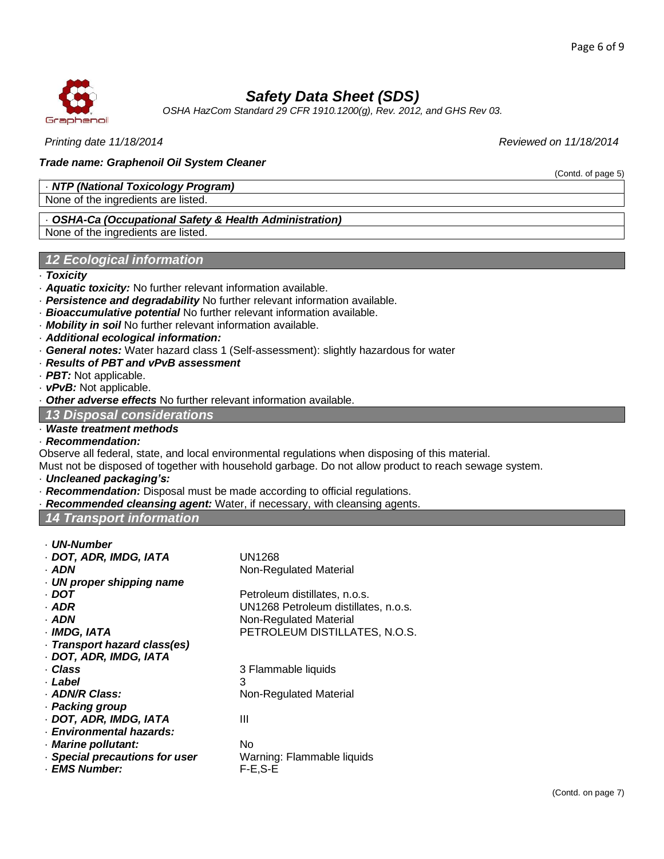(Contd. of page 5)



# *Safety Data Sheet (SDS)*

*OSHA HazCom Standard 29 CFR 1910.1200(g), Rev. 2012, and GHS Rev 03.*

*Printing date 11/18/2014 Reviewed on 11/18/2014*

### *Trade name: Graphenoil Oil System Cleaner*

### · *NTP (National Toxicology Program)*

None of the ingredients are listed.

### · *OSHA-Ca (Occupational Safety & Health Administration)*

None of the ingredients are listed.

### *12 Ecological information*

### · *Toxicity*

- · *Aquatic toxicity:* No further relevant information available.
- · *Persistence and degradability* No further relevant information available.
- · *Bioaccumulative potential* No further relevant information available.
- · *Mobility in soil* No further relevant information available.
- · *Additional ecological information:*
- · *General notes:* Water hazard class 1 (Self-assessment): slightly hazardous for water
- · *Results of PBT and vPvB assessment*
- · *PBT:* Not applicable.
- · *vPvB:* Not applicable.

**Other adverse effects No further relevant information available.** 

#### *13 Disposal considerations*

### · *Waste treatment methods*

### · *Recommendation:*

Observe all federal, state, and local environmental regulations when disposing of this material.

Must not be disposed of together with household garbage. Do not allow product to reach sewage system.

- · *Uncleaned packaging's:*
- · *Recommendation:* Disposal must be made according to official regulations.
- · *Recommended cleansing agent:* Water, if necessary, with cleansing agents.

### *14 Transport information*

- · *UN-Number*
- · *DOT, ADR, IMDG, IATA* UN1268
- · **ADN** Non-Regulated Material
- · *UN proper shipping name*
- · **DOT** Petroleum distillates, n.o.s.
- · *ADR* UN1268 Petroleum distillates, n.o.s.
- · **ADN** Non-Regulated Material
- · *IMDG, IATA* PETROLEUM DISTILLATES, N.O.S.
- · *Transport hazard class(es)*
- · *DOT, ADR, IMDG, IATA*
- 
- · *Label* 3
- 
- · *Packing group*
- · *DOT, ADR, IMDG, IATA* III
- · *Environmental hazards:*
- · *Marine pollutant:* No
- · *Special precautions for user* Warning: Flammable liquids
- · *EMS Number:* F-E,S-E

· *Class* 3 Flammable liquids · **ADN/R Class:** Non-Regulated Material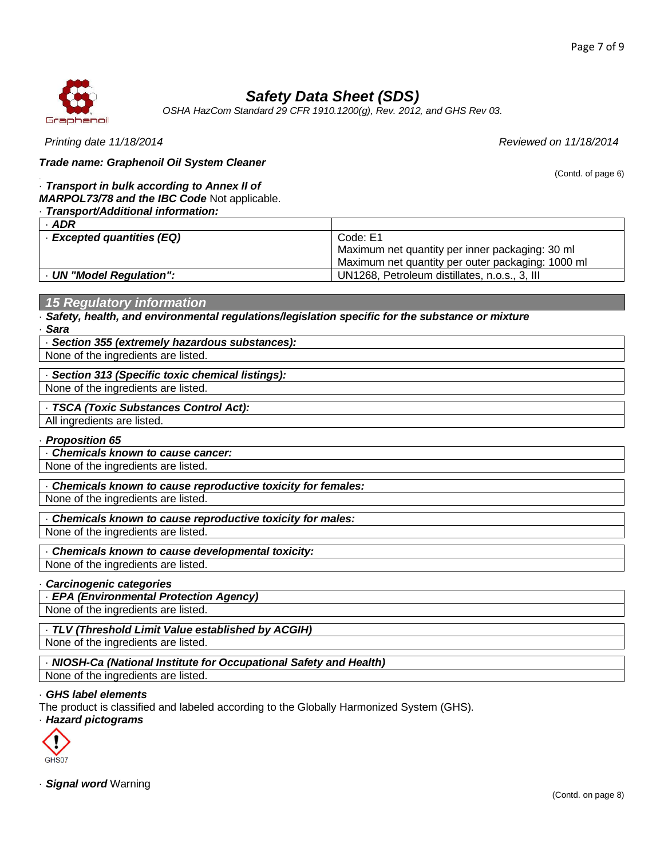

# *Safety Data Sheet (SDS)*

*OSHA HazCom Standard 29 CFR 1910.1200(g), Rev. 2012, and GHS Rev 03.*

| Printing date 11/18/2014                                                                                                        | Reviewed on 11/18/2014                                                                                           |  |  |  |  |
|---------------------------------------------------------------------------------------------------------------------------------|------------------------------------------------------------------------------------------------------------------|--|--|--|--|
| Trade name: Graphenoil Oil System Cleaner                                                                                       |                                                                                                                  |  |  |  |  |
| Transport in bulk according to Annex II of<br>MARPOL73/78 and the IBC Code Not applicable.<br>Transport/Additional information: | (Contd. of page 6)                                                                                               |  |  |  |  |
| $·$ ADR                                                                                                                         |                                                                                                                  |  |  |  |  |
| · Excepted quantities (EQ)                                                                                                      | Code: E1<br>Maximum net quantity per inner packaging: 30 ml<br>Maximum net quantity per outer packaging: 1000 ml |  |  |  |  |
| - UN "Model Regulation":                                                                                                        | UN1268, Petroleum distillates, n.o.s., 3, III                                                                    |  |  |  |  |
|                                                                                                                                 |                                                                                                                  |  |  |  |  |
| <b>15 Regulatory information</b>                                                                                                |                                                                                                                  |  |  |  |  |
| Safety, health, and environmental regulations/legislation specific for the substance or mixture<br><b>Sara</b>                  |                                                                                                                  |  |  |  |  |
| · Section 355 (extremely hazardous substances):                                                                                 |                                                                                                                  |  |  |  |  |
| None of the ingredients are listed.                                                                                             |                                                                                                                  |  |  |  |  |
| Section 313 (Specific toxic chemical listings):                                                                                 |                                                                                                                  |  |  |  |  |
| None of the ingredients are listed.                                                                                             |                                                                                                                  |  |  |  |  |
|                                                                                                                                 |                                                                                                                  |  |  |  |  |
| All ingredients are listed.                                                                                                     | - TSCA (Toxic Substances Control Act):                                                                           |  |  |  |  |
|                                                                                                                                 |                                                                                                                  |  |  |  |  |
| <b>Proposition 65</b>                                                                                                           |                                                                                                                  |  |  |  |  |
| Chemicals known to cause cancer:                                                                                                |                                                                                                                  |  |  |  |  |
| None of the ingredients are listed.                                                                                             |                                                                                                                  |  |  |  |  |
| Chemicals known to cause reproductive toxicity for females:                                                                     |                                                                                                                  |  |  |  |  |
| None of the ingredients are listed.                                                                                             |                                                                                                                  |  |  |  |  |
| Chemicals known to cause reproductive toxicity for males:                                                                       |                                                                                                                  |  |  |  |  |
| None of the ingredients are listed                                                                                              |                                                                                                                  |  |  |  |  |
| Chemicals known to cause developmental toxicity:                                                                                |                                                                                                                  |  |  |  |  |
| None of the ingredients are listed.                                                                                             |                                                                                                                  |  |  |  |  |
| <b>Carcinogenic categories</b>                                                                                                  |                                                                                                                  |  |  |  |  |
| - EPA (Environmental Protection Agency)                                                                                         |                                                                                                                  |  |  |  |  |
| None of the ingredients are listed.                                                                                             |                                                                                                                  |  |  |  |  |
| · TLV (Threshold Limit Value established by ACGIH)                                                                              |                                                                                                                  |  |  |  |  |
| None of the ingredients are listed.                                                                                             |                                                                                                                  |  |  |  |  |
| NIOSH-Ca (National Institute for Occupational Safety and Health)                                                                |                                                                                                                  |  |  |  |  |
| None of the ingredients are listed.                                                                                             |                                                                                                                  |  |  |  |  |
|                                                                                                                                 |                                                                                                                  |  |  |  |  |

### · *GHS label elements*

The product is classified and labeled according to the Globally Harmonized System (GHS).

#### · *Hazard pictograms*



· *Signal word* Warning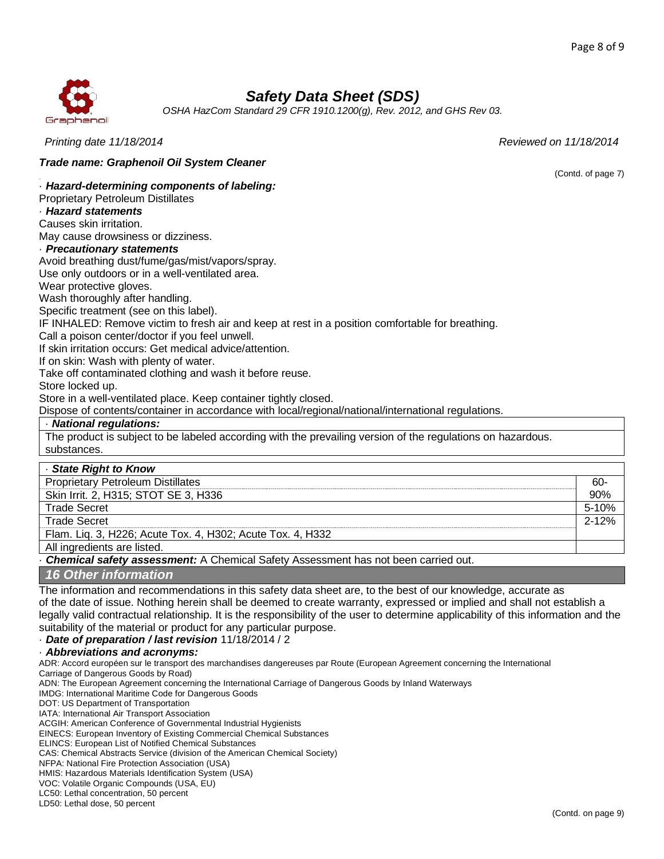(Contd. of page 7)



# *Safety Data Sheet (SDS)*

*OSHA HazCom Standard 29 CFR 1910.1200(g), Rev. 2012, and GHS Rev 03.*

*Printing date 11/18/2014 Reviewed on 11/18/2014*

*Trade name: Graphenoil Oil System Cleaner*

· *Hazard-determining components of labeling:*

Proprietary Petroleum Distillates

· *Hazard statements*

Causes skin irritation.

May cause drowsiness or dizziness.

### · *Precautionary statements*

Avoid breathing dust/fume/gas/mist/vapors/spray.

Use only outdoors or in a well-ventilated area.

Wear protective gloves.

Wash thoroughly after handling.

Specific treatment (see on this label).

IF INHALED: Remove victim to fresh air and keep at rest in a position comfortable for breathing.

Call a poison center/doctor if you feel unwell.

If skin irritation occurs: Get medical advice/attention.

If on skin: Wash with plenty of water.

Take off contaminated clothing and wash it before reuse.

Store locked up.

Store in a well-ventilated place. Keep container tightly closed.

Dispose of contents/container in accordance with local/regional/national/international regulations.

#### · *National regulations:*

The product is subject to be labeled according with the prevailing version of the regulations on hazardous. substances.

| - State Right to Know                                                           |           |
|---------------------------------------------------------------------------------|-----------|
| <b>Proprietary Petroleum Distillates</b>                                        | 60-       |
| Skin Irrit. 2, H315; STOT SE 3, H336                                            | 90%       |
| <b>Trade Secret</b>                                                             |           |
| <b>Trade Secret</b>                                                             | $2 - 12%$ |
| Flam. Lig. 3, H226; Acute Tox. 4, H302; Acute Tox. 4, H332                      |           |
| All ingredients are listed.                                                     |           |
| Chamical safety secondoment: A Chamical Cofety Association not been seminal out |           |

· *Chemical safety assessment:* A Chemical Safety Assessment has not been carried out.

*16 Other information*

The information and recommendations in this safety data sheet are, to the best of our knowledge, accurate as of the date of issue. Nothing herein shall be deemed to create warranty, expressed or implied and shall not establish a legally valid contractual relationship. It is the responsibility of the user to determine applicability of this information and the suitability of the material or product for any particular purpose.

· *Date of preparation / last revision* 11/18/2014 / 2

· *Abbreviations and acronyms:*

ADR: Accord européen sur le transport des marchandises dangereuses par Route (European Agreement concerning the International Carriage of Dangerous Goods by Road)

ADN: The European Agreement concerning the International Carriage of Dangerous Goods by Inland Waterways

IMDG: International Maritime Code for Dangerous Goods

DOT: US Department of Transportation

IATA: International Air Transport Association

ACGIH: American Conference of Governmental Industrial Hygienists

EINECS: European Inventory of Existing Commercial Chemical Substances

ELINCS: European List of Notified Chemical Substances

CAS: Chemical Abstracts Service (division of the American Chemical Society)

NFPA: National Fire Protection Association (USA)

HMIS: Hazardous Materials Identification System (USA)

VOC: Volatile Organic Compounds (USA, EU)

LC50: Lethal concentration, 50 percent

LD50: Lethal dose, 50 percent